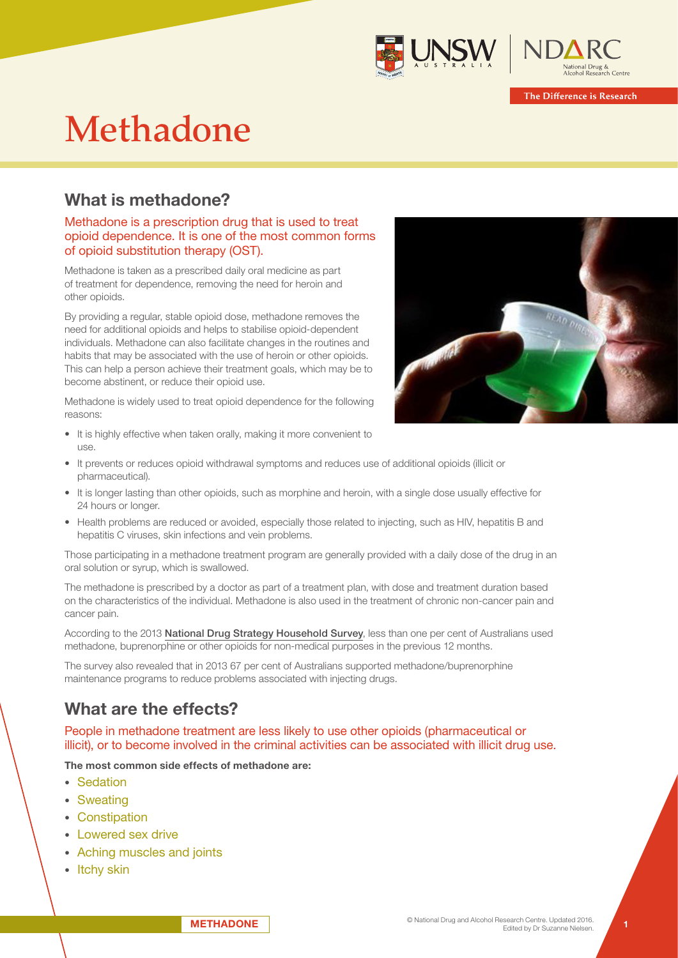



# Methadone

## What is methadone?

## Methadone is a prescription drug that is used to treat opioid dependence. It is one of the most common forms of opioid substitution therapy (OST).

Methadone is taken as a prescribed daily oral medicine as part of treatment for dependence, removing the need for heroin and other opioids.

By providing a regular, stable opioid dose, methadone removes the need for additional opioids and helps to stabilise opioid-dependent individuals. Methadone can also facilitate changes in the routines and habits that may be associated with the use of heroin or other opioids. This can help a person achieve their treatment goals, which may be to become abstinent, or reduce their opioid use.

Methadone is widely used to treat opioid dependence for the following reasons:



- It is highly effective when taken orally, making it more convenient to use.
- It prevents or reduces opioid withdrawal symptoms and reduces use of additional opioids (illicit or pharmaceutical).
- It is longer lasting than other opioids, such as morphine and heroin, with a single dose usually effective for 24 hours or longer.
- Health problems are reduced or avoided, especially those related to injecting, such as HIV, hepatitis B and hepatitis C viruses, skin infections and vein problems.

Those participating in a methadone treatment program are generally provided with a daily dose of the drug in an oral solution or syrup, which is swallowed.

The methadone is prescribed by a doctor as part of a treatment plan, with dose and treatment duration based on the characteristics of the individual. Methadone is also used in the treatment of chronic non-cancer pain and cancer pain.

According to the 2013 National Drug Strategy Household Survey, less than one per cent of Australians used methadone, buprenorphine or other opioids for non-medical purposes in the previous 12 months.

The survey also revealed that in 2013 67 per cent of Australians supported methadone/buprenorphine maintenance programs to reduce problems associated with injecting drugs.

# What are the effects?

People in methadone treatment are less likely to use other opioids (pharmaceutical or illicit), or to become involved in the criminal activities can be associated with illicit drug use.

### The most common side effects of methadone are:

- Sedation
- Sweating
- Constipation
- Lowered sex drive
- Aching muscles and joints
- Itchy skin